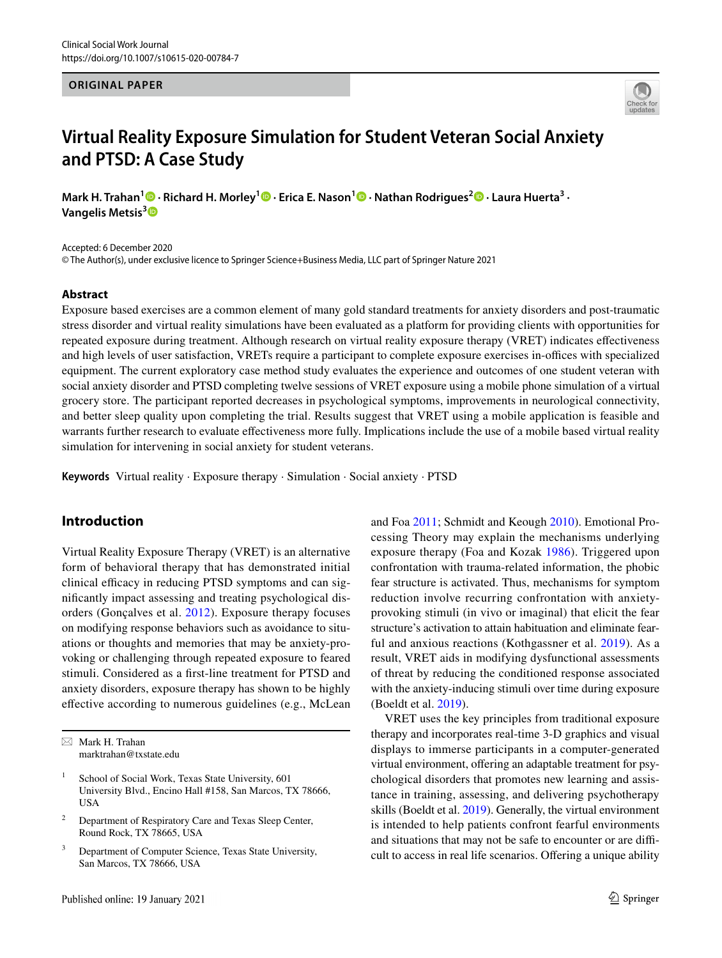## **ORIGINAL PAPER**



# **Virtual Reality Exposure Simulation for Student Veteran Social Anxiety and PTSD: A Case Study**

**Mark H. Trahan<sup>1</sup> · Richard H. Morley<sup>1</sup>  [·](https://orcid.org/0000-0003-2514-0520) Erica E. Nason1 · Nathan Rodrigues2 · Laura Huerta3 · Vangelis Metsis[3](http://orcid.org/0000-0002-7371-8887)**

Accepted: 6 December 2020

© The Author(s), under exclusive licence to Springer Science+Business Media, LLC part of Springer Nature 2021

### **Abstract**

Exposure based exercises are a common element of many gold standard treatments for anxiety disorders and post-traumatic stress disorder and virtual reality simulations have been evaluated as a platform for providing clients with opportunities for repeated exposure during treatment. Although research on virtual reality exposure therapy (VRET) indicates efectiveness and high levels of user satisfaction, VRETs require a participant to complete exposure exercises in-offices with specialized equipment. The current exploratory case method study evaluates the experience and outcomes of one student veteran with social anxiety disorder and PTSD completing twelve sessions of VRET exposure using a mobile phone simulation of a virtual grocery store. The participant reported decreases in psychological symptoms, improvements in neurological connectivity, and better sleep quality upon completing the trial. Results suggest that VRET using a mobile application is feasible and warrants further research to evaluate efectiveness more fully. Implications include the use of a mobile based virtual reality simulation for intervening in social anxiety for student veterans.

**Keywords** Virtual reality · Exposure therapy · Simulation · Social anxiety · PTSD

# **Introduction**

Virtual Reality Exposure Therapy (VRET) is an alternative form of behavioral therapy that has demonstrated initial clinical efficacy in reducing PTSD symptoms and can signifcantly impact assessing and treating psychological disorders (Gonçalves et al. [2012\)](#page-9-0). Exposure therapy focuses on modifying response behaviors such as avoidance to situations or thoughts and memories that may be anxiety-provoking or challenging through repeated exposure to feared stimuli. Considered as a frst-line treatment for PTSD and anxiety disorders, exposure therapy has shown to be highly efective according to numerous guidelines (e.g., McLean and Foa [2011](#page-9-1); Schmidt and Keough [2010\)](#page-10-0). Emotional Processing Theory may explain the mechanisms underlying exposure therapy (Foa and Kozak [1986\)](#page-9-2). Triggered upon confrontation with trauma-related information, the phobic fear structure is activated. Thus, mechanisms for symptom reduction involve recurring confrontation with anxietyprovoking stimuli (in vivo or imaginal) that elicit the fear structure's activation to attain habituation and eliminate fearful and anxious reactions (Kothgassner et al. [2019](#page-9-3)). As a result, VRET aids in modifying dysfunctional assessments of threat by reducing the conditioned response associated with the anxiety-inducing stimuli over time during exposure (Boeldt et al. [2019](#page-8-0)).

VRET uses the key principles from traditional exposure therapy and incorporates real-time 3-D graphics and visual displays to immerse participants in a computer-generated virtual environment, offering an adaptable treatment for psychological disorders that promotes new learning and assistance in training, assessing, and delivering psychotherapy skills (Boeldt et al. [2019\)](#page-8-0). Generally, the virtual environment is intended to help patients confront fearful environments and situations that may not be safe to encounter or are difficult to access in real life scenarios. Offering a unique ability

 $\boxtimes$  Mark H. Trahan marktrahan@txstate.edu

School of Social Work, Texas State University, 601 University Blvd., Encino Hall #158, San Marcos, TX 78666, USA

<sup>2</sup> Department of Respiratory Care and Texas Sleep Center, Round Rock, TX 78665, USA

<sup>&</sup>lt;sup>3</sup> Department of Computer Science, Texas State University, San Marcos, TX 78666, USA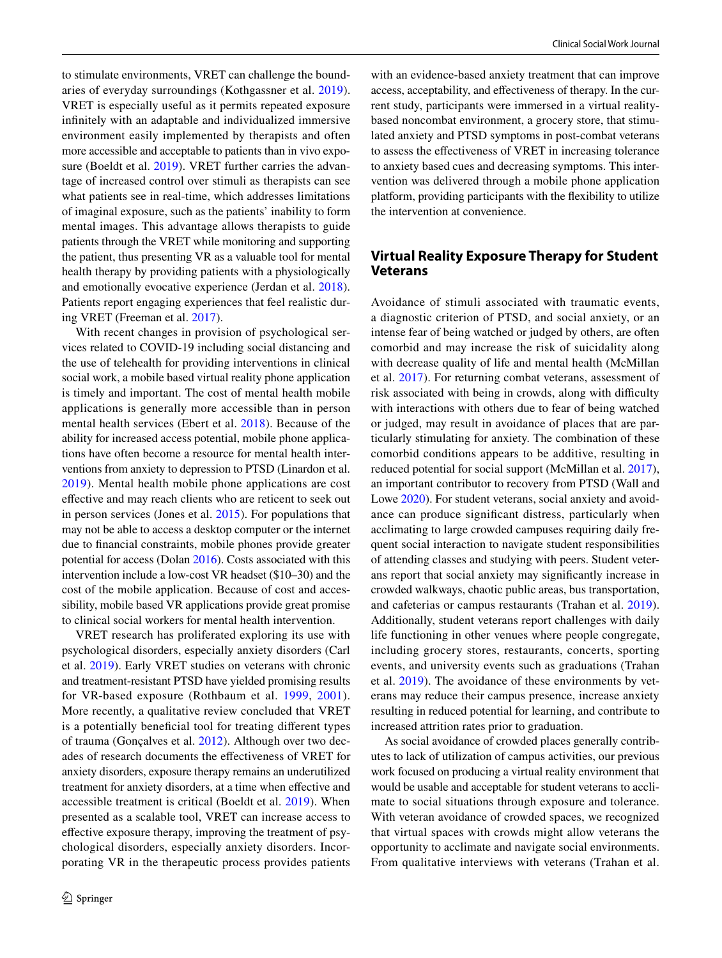to stimulate environments, VRET can challenge the boundaries of everyday surroundings (Kothgassner et al. [2019](#page-9-3)). VRET is especially useful as it permits repeated exposure infnitely with an adaptable and individualized immersive environment easily implemented by therapists and often more accessible and acceptable to patients than in vivo exposure (Boeldt et al. [2019](#page-8-0)). VRET further carries the advantage of increased control over stimuli as therapists can see what patients see in real-time, which addresses limitations of imaginal exposure, such as the patients' inability to form mental images. This advantage allows therapists to guide patients through the VRET while monitoring and supporting the patient, thus presenting VR as a valuable tool for mental health therapy by providing patients with a physiologically and emotionally evocative experience (Jerdan et al. [2018](#page-9-4)). Patients report engaging experiences that feel realistic during VRET (Freeman et al. [2017](#page-9-5)).

With recent changes in provision of psychological services related to COVID-19 including social distancing and the use of telehealth for providing interventions in clinical social work, a mobile based virtual reality phone application is timely and important. The cost of mental health mobile applications is generally more accessible than in person mental health services (Ebert et al. [2018](#page-9-6)). Because of the ability for increased access potential, mobile phone applications have often become a resource for mental health interventions from anxiety to depression to PTSD (Linardon et al. [2019\)](#page-9-7). Mental health mobile phone applications are cost efective and may reach clients who are reticent to seek out in person services (Jones et al. [2015](#page-9-8)). For populations that may not be able to access a desktop computer or the internet due to fnancial constraints, mobile phones provide greater potential for access (Dolan [2016](#page-8-1)). Costs associated with this intervention include a low-cost VR headset (\$10–30) and the cost of the mobile application. Because of cost and accessibility, mobile based VR applications provide great promise to clinical social workers for mental health intervention.

VRET research has proliferated exploring its use with psychological disorders, especially anxiety disorders (Carl et al. [2019](#page-8-2)). Early VRET studies on veterans with chronic and treatment-resistant PTSD have yielded promising results for VR-based exposure (Rothbaum et al. [1999,](#page-10-1) [2001\)](#page-10-2). More recently, a qualitative review concluded that VRET is a potentially beneficial tool for treating different types of trauma (Gonçalves et al. [2012](#page-9-0)). Although over two decades of research documents the efectiveness of VRET for anxiety disorders, exposure therapy remains an underutilized treatment for anxiety disorders, at a time when efective and accessible treatment is critical (Boeldt et al. [2019\)](#page-8-0). When presented as a scalable tool, VRET can increase access to efective exposure therapy, improving the treatment of psychological disorders, especially anxiety disorders. Incorporating VR in the therapeutic process provides patients with an evidence-based anxiety treatment that can improve access, acceptability, and efectiveness of therapy. In the current study, participants were immersed in a virtual realitybased noncombat environment, a grocery store, that stimulated anxiety and PTSD symptoms in post-combat veterans to assess the efectiveness of VRET in increasing tolerance to anxiety based cues and decreasing symptoms. This intervention was delivered through a mobile phone application platform, providing participants with the fexibility to utilize the intervention at convenience.

# **Virtual Reality Exposure Therapy for Student Veterans**

Avoidance of stimuli associated with traumatic events, a diagnostic criterion of PTSD, and social anxiety, or an intense fear of being watched or judged by others, are often comorbid and may increase the risk of suicidality along with decrease quality of life and mental health (McMillan et al. [2017](#page-9-9)). For returning combat veterans, assessment of risk associated with being in crowds, along with difficulty with interactions with others due to fear of being watched or judged, may result in avoidance of places that are particularly stimulating for anxiety. The combination of these comorbid conditions appears to be additive, resulting in reduced potential for social support (McMillan et al. [2017](#page-9-9)), an important contributor to recovery from PTSD (Wall and Lowe [2020](#page-10-3)). For student veterans, social anxiety and avoidance can produce signifcant distress, particularly when acclimating to large crowded campuses requiring daily frequent social interaction to navigate student responsibilities of attending classes and studying with peers. Student veterans report that social anxiety may signifcantly increase in crowded walkways, chaotic public areas, bus transportation, and cafeterias or campus restaurants (Trahan et al. [2019](#page-10-4)). Additionally, student veterans report challenges with daily life functioning in other venues where people congregate, including grocery stores, restaurants, concerts, sporting events, and university events such as graduations (Trahan et al. [2019\)](#page-10-4). The avoidance of these environments by veterans may reduce their campus presence, increase anxiety resulting in reduced potential for learning, and contribute to increased attrition rates prior to graduation.

As social avoidance of crowded places generally contributes to lack of utilization of campus activities, our previous work focused on producing a virtual reality environment that would be usable and acceptable for student veterans to acclimate to social situations through exposure and tolerance. With veteran avoidance of crowded spaces, we recognized that virtual spaces with crowds might allow veterans the opportunity to acclimate and navigate social environments. From qualitative interviews with veterans (Trahan et al.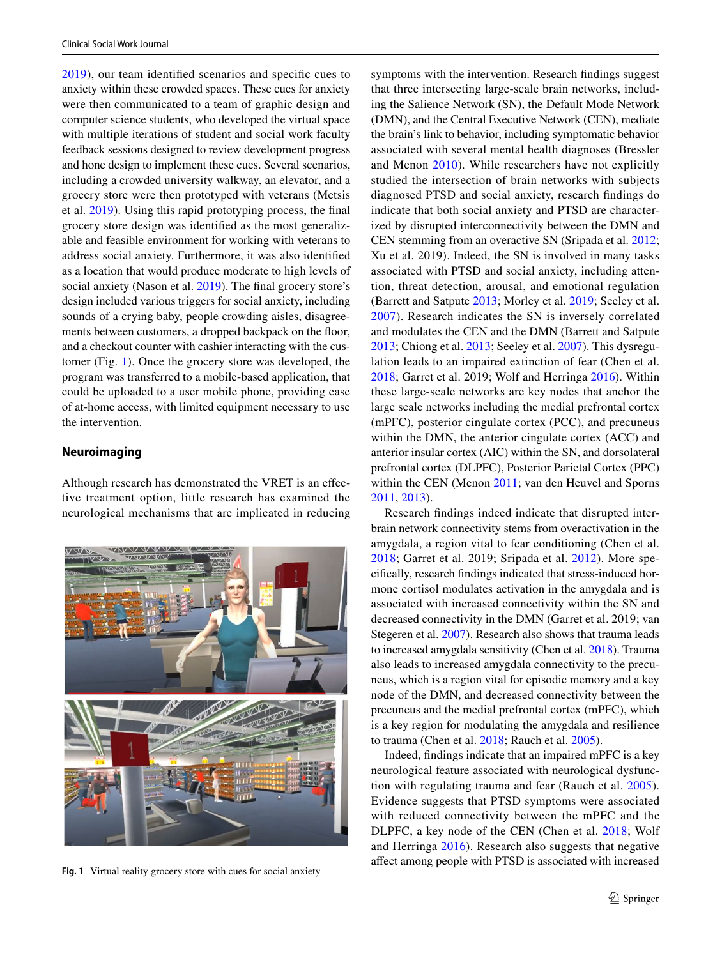[2019\)](#page-10-4), our team identifed scenarios and specifc cues to anxiety within these crowded spaces. These cues for anxiety were then communicated to a team of graphic design and computer science students, who developed the virtual space with multiple iterations of student and social work faculty feedback sessions designed to review development progress and hone design to implement these cues. Several scenarios, including a crowded university walkway, an elevator, and a grocery store were then prototyped with veterans (Metsis et al. [2019\)](#page-9-10). Using this rapid prototyping process, the fnal grocery store design was identifed as the most generalizable and feasible environment for working with veterans to address social anxiety. Furthermore, it was also identifed as a location that would produce moderate to high levels of social anxiety (Nason et al. [2019\)](#page-9-11). The final grocery store's design included various triggers for social anxiety, including sounds of a crying baby, people crowding aisles, disagreements between customers, a dropped backpack on the floor, and a checkout counter with cashier interacting with the customer (Fig. [1](#page-2-0)). Once the grocery store was developed, the program was transferred to a mobile-based application, that could be uploaded to a user mobile phone, providing ease of at-home access, with limited equipment necessary to use the intervention.

## **Neuroimaging**

Although research has demonstrated the VRET is an efective treatment option, little research has examined the neurological mechanisms that are implicated in reducing



symptoms with the intervention. Research fndings suggest that three intersecting large-scale brain networks, including the Salience Network (SN), the Default Mode Network (DMN), and the Central Executive Network (CEN), mediate the brain's link to behavior, including symptomatic behavior associated with several mental health diagnoses (Bressler and Menon [2010\)](#page-8-3). While researchers have not explicitly studied the intersection of brain networks with subjects diagnosed PTSD and social anxiety, research fndings do indicate that both social anxiety and PTSD are characterized by disrupted interconnectivity between the DMN and CEN stemming from an overactive SN (Sripada et al. [2012](#page-10-5); Xu et al. 2019). Indeed, the SN is involved in many tasks associated with PTSD and social anxiety, including attention, threat detection, arousal, and emotional regulation (Barrett and Satpute [2013](#page-8-4); Morley et al. [2019](#page-9-12); Seeley et al. [2007\)](#page-10-6). Research indicates the SN is inversely correlated and modulates the CEN and the DMN (Barrett and Satpute [2013](#page-8-4); Chiong et al. [2013;](#page-8-5) Seeley et al. [2007\)](#page-10-6). This dysregulation leads to an impaired extinction of fear (Chen et al. [2018](#page-8-6); Garret et al. 2019; Wolf and Herringa [2016\)](#page-10-7). Within these large-scale networks are key nodes that anchor the large scale networks including the medial prefrontal cortex (mPFC), posterior cingulate cortex (PCC), and precuneus within the DMN, the anterior cingulate cortex (ACC) and anterior insular cortex (AIC) within the SN, and dorsolateral prefrontal cortex (DLPFC), Posterior Parietal Cortex (PPC) within the CEN (Menon [2011](#page-9-13); van den Heuvel and Sporns [2011](#page-10-8), [2013\)](#page-10-9).

Research fndings indeed indicate that disrupted interbrain network connectivity stems from overactivation in the amygdala, a region vital to fear conditioning (Chen et al. [2018;](#page-8-6) Garret et al. 2019; Sripada et al. [2012](#page-10-5)). More specifcally, research fndings indicated that stress-induced hormone cortisol modulates activation in the amygdala and is associated with increased connectivity within the SN and decreased connectivity in the DMN (Garret et al. 2019; van Stegeren et al. [2007](#page-10-10)). Research also shows that trauma leads to increased amygdala sensitivity (Chen et al. [2018\)](#page-8-6). Trauma also leads to increased amygdala connectivity to the precuneus, which is a region vital for episodic memory and a key node of the DMN, and decreased connectivity between the precuneus and the medial prefrontal cortex (mPFC), which is a key region for modulating the amygdala and resilience to trauma (Chen et al. [2018](#page-8-6); Rauch et al. [2005\)](#page-10-11).

<span id="page-2-0"></span>Indeed, fndings indicate that an impaired mPFC is a key neurological feature associated with neurological dysfunction with regulating trauma and fear (Rauch et al. [2005](#page-10-11)). Evidence suggests that PTSD symptoms were associated with reduced connectivity between the mPFC and the DLPFC, a key node of the CEN (Chen et al. [2018;](#page-8-6) Wolf and Herringa [2016](#page-10-7)). Research also suggests that negative afect among people with PTSD is associated with increased **Fig. <sup>1</sup>**Virtual reality grocery store with cues for social anxiety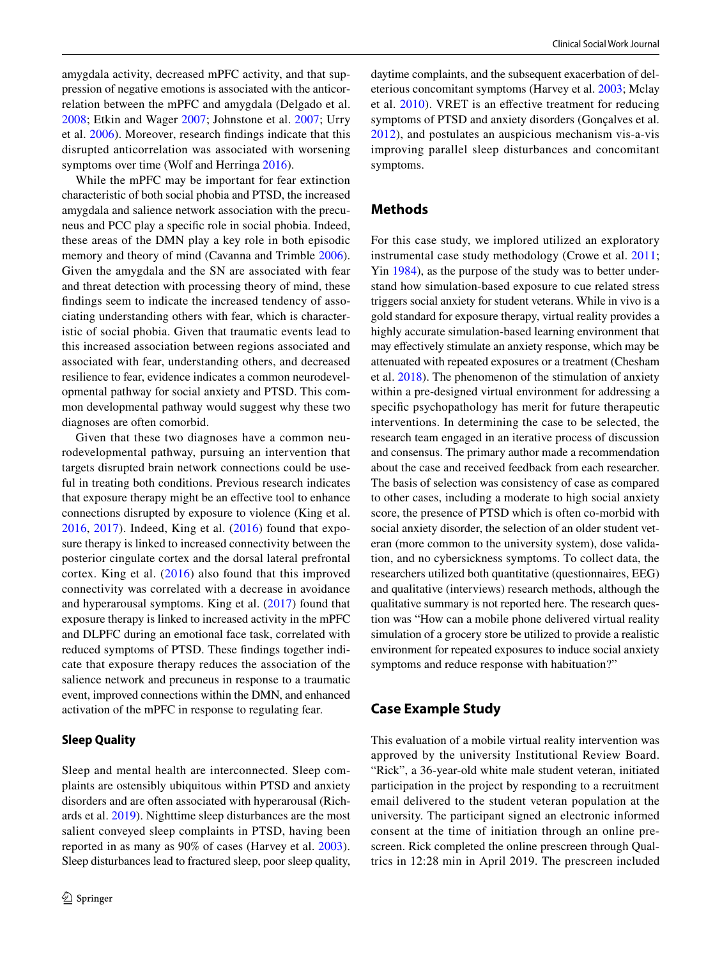amygdala activity, decreased mPFC activity, and that suppression of negative emotions is associated with the anticorrelation between the mPFC and amygdala (Delgado et al. [2008;](#page-8-7) Etkin and Wager [2007](#page-9-14); Johnstone et al. [2007;](#page-9-15) Urry et al. [2006](#page-10-12)). Moreover, research fndings indicate that this disrupted anticorrelation was associated with worsening symptoms over time (Wolf and Herringa [2016](#page-10-7)).

While the mPFC may be important for fear extinction characteristic of both social phobia and PTSD, the increased amygdala and salience network association with the precuneus and PCC play a specifc role in social phobia. Indeed, these areas of the DMN play a key role in both episodic memory and theory of mind (Cavanna and Trimble [2006](#page-8-8)). Given the amygdala and the SN are associated with fear and threat detection with processing theory of mind, these fndings seem to indicate the increased tendency of associating understanding others with fear, which is characteristic of social phobia. Given that traumatic events lead to this increased association between regions associated and associated with fear, understanding others, and decreased resilience to fear, evidence indicates a common neurodevelopmental pathway for social anxiety and PTSD. This common developmental pathway would suggest why these two diagnoses are often comorbid.

Given that these two diagnoses have a common neurodevelopmental pathway, pursuing an intervention that targets disrupted brain network connections could be useful in treating both conditions. Previous research indicates that exposure therapy might be an efective tool to enhance connections disrupted by exposure to violence (King et al. [2016,](#page-9-16) [2017](#page-9-16)). Indeed, King et al. ([2016](#page-9-16)) found that exposure therapy is linked to increased connectivity between the posterior cingulate cortex and the dorsal lateral prefrontal cortex. King et al. ([2016\)](#page-9-16) also found that this improved connectivity was correlated with a decrease in avoidance and hyperarousal symptoms. King et al. ([2017](#page-9-17)) found that exposure therapy is linked to increased activity in the mPFC and DLPFC during an emotional face task, correlated with reduced symptoms of PTSD. These fndings together indicate that exposure therapy reduces the association of the salience network and precuneus in response to a traumatic event, improved connections within the DMN, and enhanced activation of the mPFC in response to regulating fear.

## **Sleep Quality**

Sleep and mental health are interconnected. Sleep complaints are ostensibly ubiquitous within PTSD and anxiety disorders and are often associated with hyperarousal (Richards et al. [2019](#page-10-13)). Nighttime sleep disturbances are the most salient conveyed sleep complaints in PTSD, having been reported in as many as 90% of cases (Harvey et al. [2003](#page-9-18)). Sleep disturbances lead to fractured sleep, poor sleep quality,

daytime complaints, and the subsequent exacerbation of deleterious concomitant symptoms (Harvey et al. [2003;](#page-9-18) Mclay et al. [2010\)](#page-9-19). VRET is an efective treatment for reducing symptoms of PTSD and anxiety disorders (Gonçalves et al. [2012\)](#page-9-0), and postulates an auspicious mechanism vis-a-vis improving parallel sleep disturbances and concomitant symptoms.

## **Methods**

For this case study, we implored utilized an exploratory instrumental case study methodology (Crowe et al. [2011](#page-8-9); Yin [1984\)](#page-10-14), as the purpose of the study was to better understand how simulation-based exposure to cue related stress triggers social anxiety for student veterans. While in vivo is a gold standard for exposure therapy, virtual reality provides a highly accurate simulation-based learning environment that may efectively stimulate an anxiety response, which may be attenuated with repeated exposures or a treatment (Chesham et al. [2018](#page-8-10)). The phenomenon of the stimulation of anxiety within a pre-designed virtual environment for addressing a specifc psychopathology has merit for future therapeutic interventions. In determining the case to be selected, the research team engaged in an iterative process of discussion and consensus. The primary author made a recommendation about the case and received feedback from each researcher. The basis of selection was consistency of case as compared to other cases, including a moderate to high social anxiety score, the presence of PTSD which is often co-morbid with social anxiety disorder, the selection of an older student veteran (more common to the university system), dose validation, and no cybersickness symptoms. To collect data, the researchers utilized both quantitative (questionnaires, EEG) and qualitative (interviews) research methods, although the qualitative summary is not reported here. The research question was "How can a mobile phone delivered virtual reality simulation of a grocery store be utilized to provide a realistic environment for repeated exposures to induce social anxiety symptoms and reduce response with habituation?"

# **Case Example Study**

This evaluation of a mobile virtual reality intervention was approved by the university Institutional Review Board. "Rick", a 36-year-old white male student veteran, initiated participation in the project by responding to a recruitment email delivered to the student veteran population at the university. The participant signed an electronic informed consent at the time of initiation through an online prescreen. Rick completed the online prescreen through Qualtrics in 12:28 min in April 2019. The prescreen included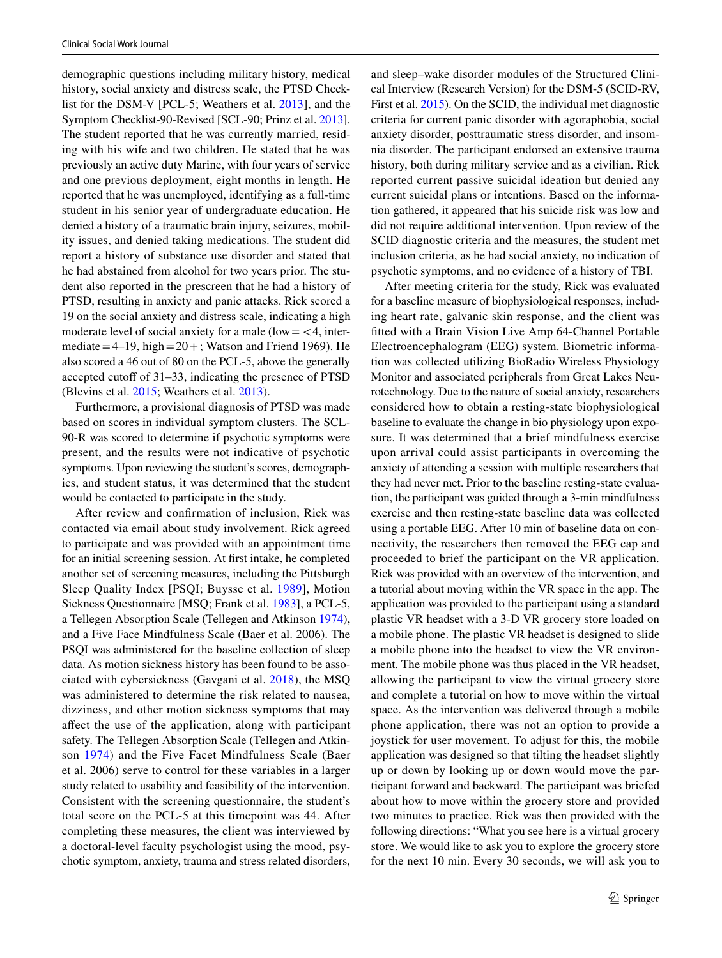demographic questions including military history, medical history, social anxiety and distress scale, the PTSD Checklist for the DSM-V [PCL-5; Weathers et al. [2013](#page-10-15)], and the Symptom Checklist-90-Revised [SCL-90; Prinz et al. [2013](#page-10-16)]. The student reported that he was currently married, residing with his wife and two children. He stated that he was previously an active duty Marine, with four years of service and one previous deployment, eight months in length. He reported that he was unemployed, identifying as a full-time student in his senior year of undergraduate education. He denied a history of a traumatic brain injury, seizures, mobility issues, and denied taking medications. The student did report a history of substance use disorder and stated that he had abstained from alcohol for two years prior. The student also reported in the prescreen that he had a history of PTSD, resulting in anxiety and panic attacks. Rick scored a 19 on the social anxiety and distress scale, indicating a high moderate level of social anxiety for a male (low  $=$  <4, intermediate  $=4-19$ , high  $=20+$ ; Watson and Friend 1969). He also scored a 46 out of 80 on the PCL-5, above the generally accepted cutoff of 31–33, indicating the presence of PTSD (Blevins et al. [2015;](#page-8-11) Weathers et al. [2013](#page-10-15)).

Furthermore, a provisional diagnosis of PTSD was made based on scores in individual symptom clusters. The SCL-90-R was scored to determine if psychotic symptoms were present, and the results were not indicative of psychotic symptoms. Upon reviewing the student's scores, demographics, and student status, it was determined that the student would be contacted to participate in the study.

After review and confrmation of inclusion, Rick was contacted via email about study involvement. Rick agreed to participate and was provided with an appointment time for an initial screening session. At frst intake, he completed another set of screening measures, including the Pittsburgh Sleep Quality Index [PSQI; Buysse et al. [1989](#page-8-12)], Motion Sickness Questionnaire [MSQ; Frank et al. [1983\]](#page-9-20), a PCL-5, a Tellegen Absorption Scale (Tellegen and Atkinson [1974](#page-10-17)), and a Five Face Mindfulness Scale (Baer et al. 2006). The PSQI was administered for the baseline collection of sleep data. As motion sickness history has been found to be associated with cybersickness (Gavgani et al. [2018\)](#page-9-21), the MSQ was administered to determine the risk related to nausea, dizziness, and other motion sickness symptoms that may afect the use of the application, along with participant safety. The Tellegen Absorption Scale (Tellegen and Atkinson [1974\)](#page-10-17) and the Five Facet Mindfulness Scale (Baer et al. 2006) serve to control for these variables in a larger study related to usability and feasibility of the intervention. Consistent with the screening questionnaire, the student's total score on the PCL-5 at this timepoint was 44. After completing these measures, the client was interviewed by a doctoral-level faculty psychologist using the mood, psychotic symptom, anxiety, trauma and stress related disorders,

and sleep–wake disorder modules of the Structured Clinical Interview (Research Version) for the DSM-5 (SCID-RV, First et al. [2015\)](#page-9-22). On the SCID, the individual met diagnostic criteria for current panic disorder with agoraphobia, social anxiety disorder, posttraumatic stress disorder, and insomnia disorder. The participant endorsed an extensive trauma history, both during military service and as a civilian. Rick reported current passive suicidal ideation but denied any current suicidal plans or intentions. Based on the information gathered, it appeared that his suicide risk was low and did not require additional intervention. Upon review of the SCID diagnostic criteria and the measures, the student met inclusion criteria, as he had social anxiety, no indication of psychotic symptoms, and no evidence of a history of TBI.

After meeting criteria for the study, Rick was evaluated for a baseline measure of biophysiological responses, including heart rate, galvanic skin response, and the client was ftted with a Brain Vision Live Amp 64-Channel Portable Electroencephalogram (EEG) system. Biometric information was collected utilizing BioRadio Wireless Physiology Monitor and associated peripherals from Great Lakes Neurotechnology. Due to the nature of social anxiety, researchers considered how to obtain a resting-state biophysiological baseline to evaluate the change in bio physiology upon exposure. It was determined that a brief mindfulness exercise upon arrival could assist participants in overcoming the anxiety of attending a session with multiple researchers that they had never met. Prior to the baseline resting-state evaluation, the participant was guided through a 3-min mindfulness exercise and then resting-state baseline data was collected using a portable EEG. After 10 min of baseline data on connectivity, the researchers then removed the EEG cap and proceeded to brief the participant on the VR application. Rick was provided with an overview of the intervention, and a tutorial about moving within the VR space in the app. The application was provided to the participant using a standard plastic VR headset with a 3-D VR grocery store loaded on a mobile phone. The plastic VR headset is designed to slide a mobile phone into the headset to view the VR environment. The mobile phone was thus placed in the VR headset, allowing the participant to view the virtual grocery store and complete a tutorial on how to move within the virtual space. As the intervention was delivered through a mobile phone application, there was not an option to provide a joystick for user movement. To adjust for this, the mobile application was designed so that tilting the headset slightly up or down by looking up or down would move the participant forward and backward. The participant was briefed about how to move within the grocery store and provided two minutes to practice. Rick was then provided with the following directions: "What you see here is a virtual grocery store. We would like to ask you to explore the grocery store for the next 10 min. Every 30 seconds, we will ask you to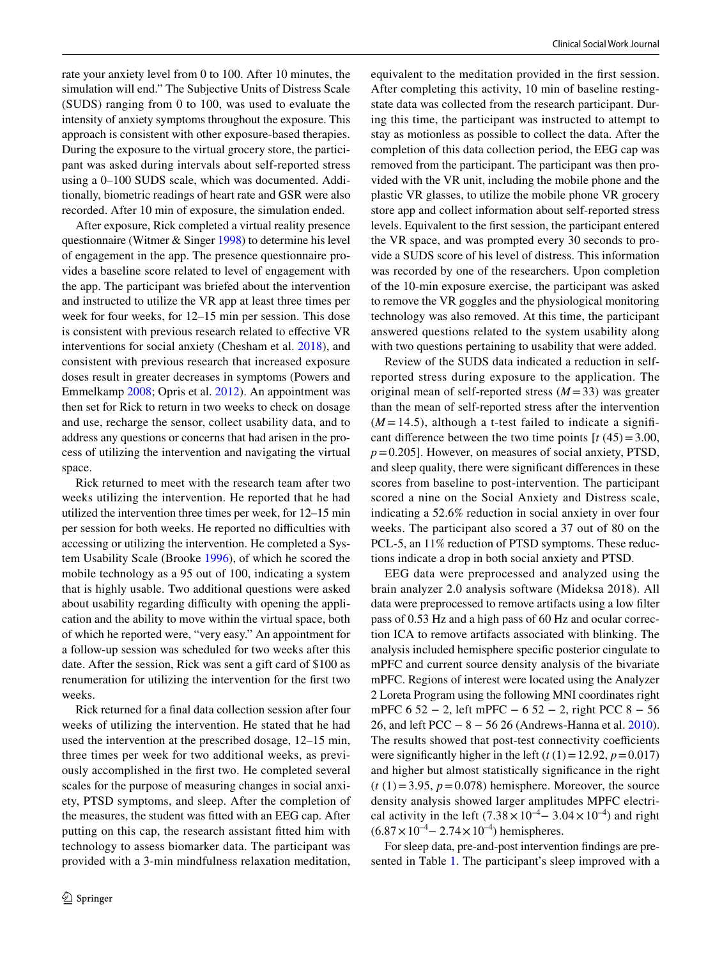rate your anxiety level from 0 to 100. After 10 minutes, the simulation will end." The Subjective Units of Distress Scale (SUDS) ranging from 0 to 100, was used to evaluate the intensity of anxiety symptoms throughout the exposure. This approach is consistent with other exposure-based therapies. During the exposure to the virtual grocery store, the participant was asked during intervals about self-reported stress using a 0–100 SUDS scale, which was documented. Additionally, biometric readings of heart rate and GSR were also recorded. After 10 min of exposure, the simulation ended.

After exposure, Rick completed a virtual reality presence questionnaire (Witmer & Singer [1998](#page-10-18)) to determine his level of engagement in the app. The presence questionnaire provides a baseline score related to level of engagement with the app. The participant was briefed about the intervention and instructed to utilize the VR app at least three times per week for four weeks, for 12–15 min per session. This dose is consistent with previous research related to efective VR interventions for social anxiety (Chesham et al. [2018\)](#page-8-10), and consistent with previous research that increased exposure doses result in greater decreases in symptoms (Powers and Emmelkamp [2008](#page-9-23); Opris et al. [2012\)](#page-9-24). An appointment was then set for Rick to return in two weeks to check on dosage and use, recharge the sensor, collect usability data, and to address any questions or concerns that had arisen in the process of utilizing the intervention and navigating the virtual space.

Rick returned to meet with the research team after two weeks utilizing the intervention. He reported that he had utilized the intervention three times per week, for 12–15 min per session for both weeks. He reported no difficulties with accessing or utilizing the intervention. He completed a System Usability Scale (Brooke [1996\)](#page-8-13), of which he scored the mobile technology as a 95 out of 100, indicating a system that is highly usable. Two additional questions were asked about usability regarding difficulty with opening the application and the ability to move within the virtual space, both of which he reported were, "very easy." An appointment for a follow-up session was scheduled for two weeks after this date. After the session, Rick was sent a gift card of \$100 as renumeration for utilizing the intervention for the frst two weeks.

Rick returned for a fnal data collection session after four weeks of utilizing the intervention. He stated that he had used the intervention at the prescribed dosage, 12–15 min, three times per week for two additional weeks, as previously accomplished in the frst two. He completed several scales for the purpose of measuring changes in social anxiety, PTSD symptoms, and sleep. After the completion of the measures, the student was ftted with an EEG cap. After putting on this cap, the research assistant ftted him with technology to assess biomarker data. The participant was provided with a 3-min mindfulness relaxation meditation,

equivalent to the meditation provided in the frst session. After completing this activity, 10 min of baseline restingstate data was collected from the research participant. During this time, the participant was instructed to attempt to stay as motionless as possible to collect the data. After the completion of this data collection period, the EEG cap was removed from the participant. The participant was then provided with the VR unit, including the mobile phone and the plastic VR glasses, to utilize the mobile phone VR grocery store app and collect information about self-reported stress levels. Equivalent to the frst session, the participant entered the VR space, and was prompted every 30 seconds to provide a SUDS score of his level of distress. This information was recorded by one of the researchers. Upon completion of the 10-min exposure exercise, the participant was asked to remove the VR goggles and the physiological monitoring technology was also removed. At this time, the participant answered questions related to the system usability along with two questions pertaining to usability that were added.

Review of the SUDS data indicated a reduction in selfreported stress during exposure to the application. The original mean of self-reported stress  $(M=33)$  was greater than the mean of self-reported stress after the intervention  $(M = 14.5)$ , although a t-test failed to indicate a significant difference between the two time points  $\left[ t \right]$  (45) = 3.00, *p*=0.205]. However, on measures of social anxiety, PTSD, and sleep quality, there were signifcant diferences in these scores from baseline to post-intervention. The participant scored a nine on the Social Anxiety and Distress scale, indicating a 52.6% reduction in social anxiety in over four weeks. The participant also scored a 37 out of 80 on the PCL-5, an 11% reduction of PTSD symptoms. These reductions indicate a drop in both social anxiety and PTSD.

EEG data were preprocessed and analyzed using the brain analyzer 2.0 analysis software (Mideksa 2018). All data were preprocessed to remove artifacts using a low flter pass of 0.53 Hz and a high pass of 60 Hz and ocular correction ICA to remove artifacts associated with blinking. The analysis included hemisphere specifc posterior cingulate to mPFC and current source density analysis of the bivariate mPFC. Regions of interest were located using the Analyzer 2 Loreta Program using the following MNI coordinates right mPFC 6 52 − 2, left mPFC − 6 52 − 2, right PCC 8 − 56 26, and left PCC − 8 − 56 26 (Andrews-Hanna et al. [2010](#page-8-14)). The results showed that post-test connectivity coefficients were significantly higher in the left  $(t(1)=12.92, p=0.017)$ and higher but almost statistically signifcance in the right  $(t(1)=3.95, p=0.078)$  hemisphere. Moreover, the source density analysis showed larger amplitudes MPFC electrical activity in the left  $(7.38 \times 10^{-4} - 3.04 \times 10^{-4})$  and right  $(6.87 \times 10^{-4} - 2.74 \times 10^{-4})$  hemispheres.

For sleep data, pre-and-post intervention fndings are presented in Table [1](#page-6-0). The participant's sleep improved with a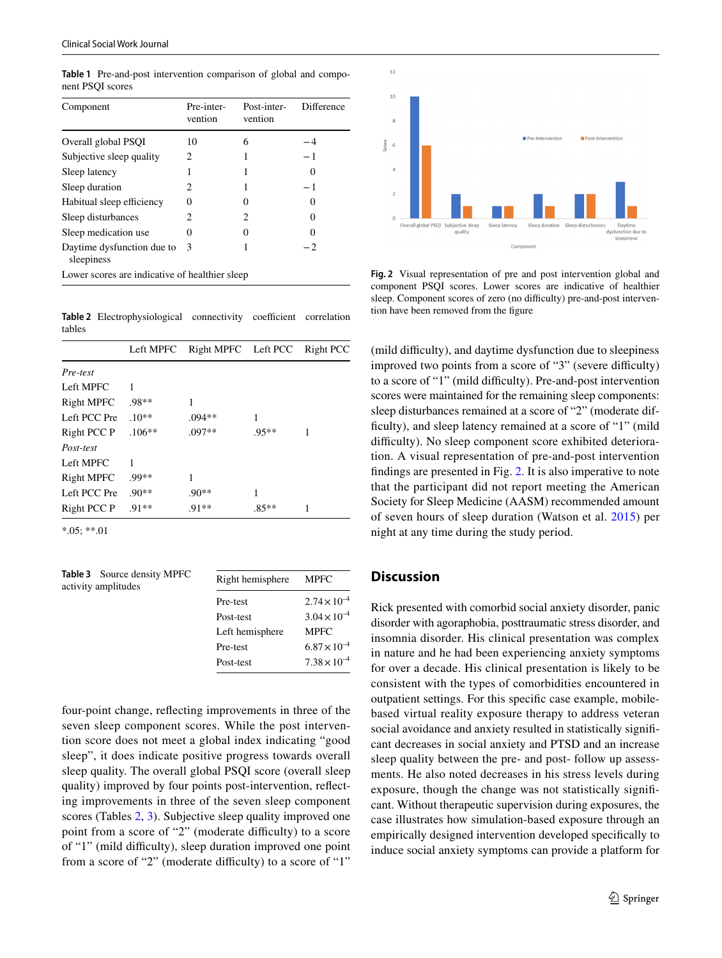| Component                                      | Pre-inter-<br>vention | Post-inter-<br>vention | Difference |
|------------------------------------------------|-----------------------|------------------------|------------|
|                                                |                       |                        |            |
| Overall global PSOI                            | 10                    | 6                      | 4          |
| Subjective sleep quality                       | 2                     |                        | - 1        |
| Sleep latency                                  |                       |                        |            |
| Sleep duration                                 | 2.                    |                        | - 1        |
| Habitual sleep efficiency                      | 0                     | 0                      | 0          |
| Sleep disturbances                             | 2                     | 2                      | 0          |
| Sleep medication use                           | 0                     | 0                      |            |
| Daytime dysfunction due to<br>sleepiness       | 3                     |                        | - 2        |
| Lower scores are indicative of healthier sleep |                       |                        |            |

<span id="page-6-0"></span>**Table 1** Pre-and-post intervention comparison of global and component PSQI scores

<span id="page-6-1"></span>Table 2 Electrophysiological connectivity coefficient correlation tables

|                   | Left MPFC | Right MPFC Left PCC |         | Right PCC |
|-------------------|-----------|---------------------|---------|-----------|
| Pre-test          |           |                     |         |           |
| Left MPFC         | 1         |                     |         |           |
| <b>Right MPFC</b> | $.98**$   |                     |         |           |
| Left PCC Pre      | $.10**$   | $.094**$            | 1       |           |
| Right PCC P       | $.106**$  | $.097**$            | $.95**$ | 1         |
| Post-test         |           |                     |         |           |
| Left MPFC         | 1         |                     |         |           |
| <b>Right MPFC</b> | .99**     | 1                   |         |           |
| Left PCC Pre      | $.90**$   | $.90**$             | 1       |           |
| Right PCC P       | $.91**$   | $.91**$             | $.85**$ |           |

\*.05; \*\*.01

<span id="page-6-2"></span>**Table 3** Source density MPFC activity amplitudes

| Right hemisphere | <b>MPFC</b>           |
|------------------|-----------------------|
| Pre-test         | $2.74 \times 10^{-4}$ |
| Post-test        | $3.04 \times 10^{-4}$ |
| Left hemisphere  | <b>MPFC</b>           |
| Pre-test         | $6.87 \times 10^{-4}$ |
| Post-test        | $7.38 \times 10^{-4}$ |
|                  |                       |

four-point change, refecting improvements in three of the seven sleep component scores. While the post intervention score does not meet a global index indicating "good sleep", it does indicate positive progress towards overall sleep quality. The overall global PSQI score (overall sleep quality) improved by four points post-intervention, refecting improvements in three of the seven sleep component scores (Tables [2](#page-6-1), [3\)](#page-6-2). Subjective sleep quality improved one point from a score of "2" (moderate difficulty) to a score of "1" (mild difculty), sleep duration improved one point from a score of "2" (moderate difficulty) to a score of "1"



<span id="page-6-3"></span>**Fig. 2** Visual representation of pre and post intervention global and component PSQI scores. Lower scores are indicative of healthier sleep. Component scores of zero (no difficulty) pre-and-post intervention have been removed from the figure

(mild difficulty), and daytime dysfunction due to sleepiness improved two points from a score of "3" (severe difficulty) to a score of "1" (mild difficulty). Pre-and-post intervention scores were maintained for the remaining sleep components: sleep disturbances remained at a score of "2" (moderate difficulty), and sleep latency remained at a score of "1" (mild difficulty). No sleep component score exhibited deterioration. A visual representation of pre-and-post intervention fndings are presented in Fig. [2](#page-6-3). It is also imperative to note that the participant did not report meeting the American Society for Sleep Medicine (AASM) recommended amount of seven hours of sleep duration (Watson et al. [2015\)](#page-10-19) per night at any time during the study period.

# **Discussion**

Rick presented with comorbid social anxiety disorder, panic disorder with agoraphobia, posttraumatic stress disorder, and insomnia disorder. His clinical presentation was complex in nature and he had been experiencing anxiety symptoms for over a decade. His clinical presentation is likely to be consistent with the types of comorbidities encountered in outpatient settings. For this specifc case example, mobilebased virtual reality exposure therapy to address veteran social avoidance and anxiety resulted in statistically signifcant decreases in social anxiety and PTSD and an increase sleep quality between the pre- and post- follow up assessments. He also noted decreases in his stress levels during exposure, though the change was not statistically signifcant. Without therapeutic supervision during exposures, the case illustrates how simulation-based exposure through an empirically designed intervention developed specifcally to induce social anxiety symptoms can provide a platform for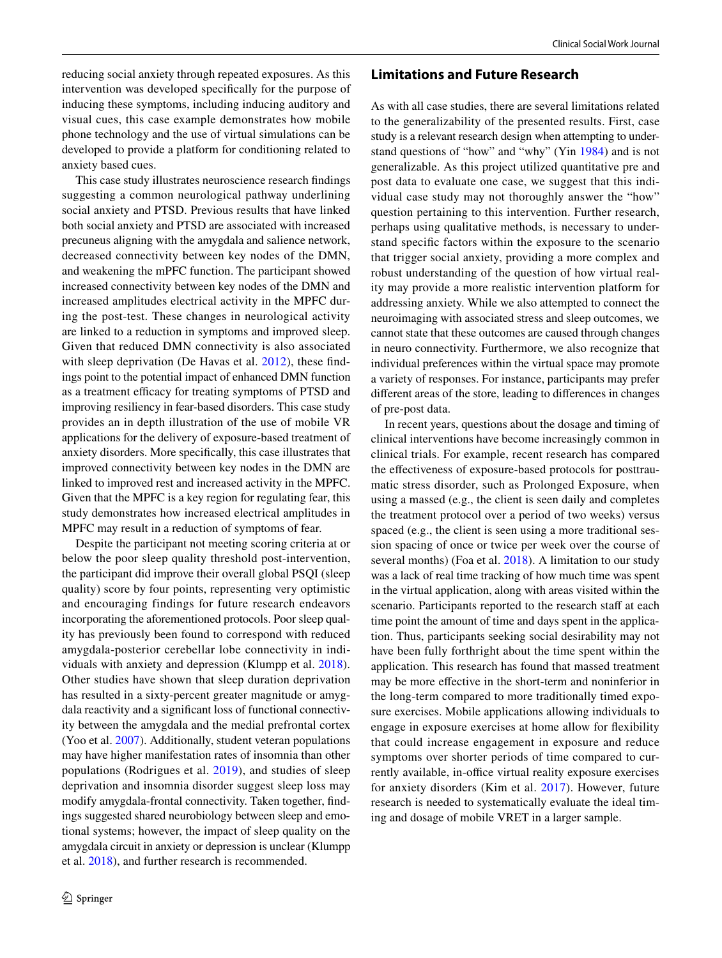**Limitations and Future Research**

reducing social anxiety through repeated exposures. As this intervention was developed specifcally for the purpose of inducing these symptoms, including inducing auditory and visual cues, this case example demonstrates how mobile phone technology and the use of virtual simulations can be developed to provide a platform for conditioning related to anxiety based cues.

This case study illustrates neuroscience research fndings suggesting a common neurological pathway underlining social anxiety and PTSD. Previous results that have linked both social anxiety and PTSD are associated with increased precuneus aligning with the amygdala and salience network, decreased connectivity between key nodes of the DMN, and weakening the mPFC function. The participant showed increased connectivity between key nodes of the DMN and increased amplitudes electrical activity in the MPFC during the post-test. These changes in neurological activity are linked to a reduction in symptoms and improved sleep. Given that reduced DMN connectivity is also associated with sleep deprivation (De Havas et al. [2012\)](#page-8-15), these fndings point to the potential impact of enhanced DMN function as a treatment efficacy for treating symptoms of PTSD and improving resiliency in fear-based disorders. This case study provides an in depth illustration of the use of mobile VR applications for the delivery of exposure-based treatment of anxiety disorders. More specifcally, this case illustrates that improved connectivity between key nodes in the DMN are linked to improved rest and increased activity in the MPFC. Given that the MPFC is a key region for regulating fear, this study demonstrates how increased electrical amplitudes in MPFC may result in a reduction of symptoms of fear.

Despite the participant not meeting scoring criteria at or below the poor sleep quality threshold post-intervention, the participant did improve their overall global PSQI (sleep quality) score by four points, representing very optimistic and encouraging findings for future research endeavors incorporating the aforementioned protocols. Poor sleep quality has previously been found to correspond with reduced amygdala-posterior cerebellar lobe connectivity in individuals with anxiety and depression (Klumpp et al. [2018](#page-9-25)). Other studies have shown that sleep duration deprivation has resulted in a sixty-percent greater magnitude or amygdala reactivity and a signifcant loss of functional connectivity between the amygdala and the medial prefrontal cortex (Yoo et al. [2007](#page-10-20)). Additionally, student veteran populations may have higher manifestation rates of insomnia than other populations (Rodrigues et al. [2019\)](#page-10-21), and studies of sleep deprivation and insomnia disorder suggest sleep loss may modify amygdala-frontal connectivity. Taken together, fndings suggested shared neurobiology between sleep and emotional systems; however, the impact of sleep quality on the amygdala circuit in anxiety or depression is unclear (Klumpp et al. [2018](#page-9-25)), and further research is recommended.

As with all case studies, there are several limitations related to the generalizability of the presented results. First, case study is a relevant research design when attempting to understand questions of "how" and "why" (Yin [1984\)](#page-10-14) and is not generalizable. As this project utilized quantitative pre and post data to evaluate one case, we suggest that this individual case study may not thoroughly answer the "how" question pertaining to this intervention. Further research, perhaps using qualitative methods, is necessary to understand specifc factors within the exposure to the scenario that trigger social anxiety, providing a more complex and robust understanding of the question of how virtual reality may provide a more realistic intervention platform for addressing anxiety. While we also attempted to connect the neuroimaging with associated stress and sleep outcomes, we cannot state that these outcomes are caused through changes in neuro connectivity. Furthermore, we also recognize that individual preferences within the virtual space may promote a variety of responses. For instance, participants may prefer diferent areas of the store, leading to diferences in changes of pre-post data.

In recent years, questions about the dosage and timing of clinical interventions have become increasingly common in clinical trials. For example, recent research has compared the efectiveness of exposure-based protocols for posttraumatic stress disorder, such as Prolonged Exposure, when using a massed (e.g., the client is seen daily and completes the treatment protocol over a period of two weeks) versus spaced (e.g., the client is seen using a more traditional session spacing of once or twice per week over the course of several months) (Foa et al. [2018\)](#page-9-26). A limitation to our study was a lack of real time tracking of how much time was spent in the virtual application, along with areas visited within the scenario. Participants reported to the research staff at each time point the amount of time and days spent in the application. Thus, participants seeking social desirability may not have been fully forthright about the time spent within the application. This research has found that massed treatment may be more efective in the short-term and noninferior in the long-term compared to more traditionally timed exposure exercises. Mobile applications allowing individuals to engage in exposure exercises at home allow for fexibility that could increase engagement in exposure and reduce symptoms over shorter periods of time compared to currently available, in-office virtual reality exposure exercises for anxiety disorders (Kim et al. [2017](#page-9-27)). However, future research is needed to systematically evaluate the ideal timing and dosage of mobile VRET in a larger sample.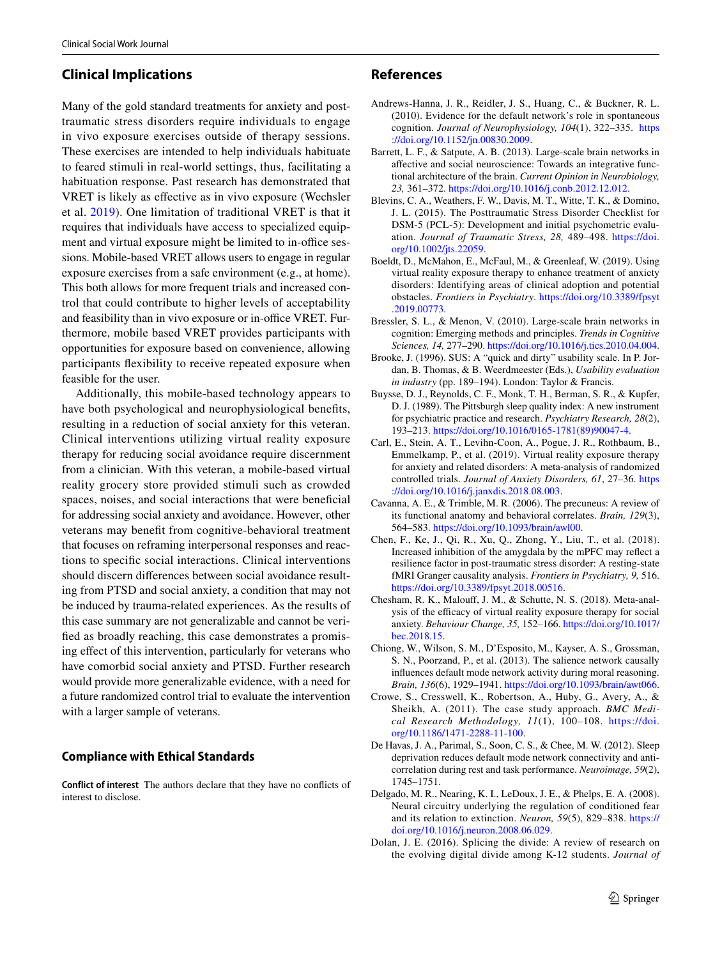# **Clinical Implications**

Many of the gold standard treatments for anxiety and posttraumatic stress disorders require individuals to engage in vivo exposure exercises outside of therapy sessions. These exercises are intended to help individuals habituate to feared stimuli in real-world settings, thus, facilitating a habituation response. Past research has demonstrated that VRET is likely as efective as in vivo exposure (Wechsler et al. [2019](#page-10-22)). One limitation of traditional VRET is that it requires that individuals have access to specialized equipment and virtual exposure might be limited to in-office sessions. Mobile-based VRET allows users to engage in regular exposure exercises from a safe environment (e.g., at home). This both allows for more frequent trials and increased control that could contribute to higher levels of acceptability and feasibility than in vivo exposure or in-office VRET. Furthermore, mobile based VRET provides participants with opportunities for exposure based on convenience, allowing participants fexibility to receive repeated exposure when feasible for the user.

Additionally, this mobile-based technology appears to have both psychological and neurophysiological benefts, resulting in a reduction of social anxiety for this veteran. Clinical interventions utilizing virtual reality exposure therapy for reducing social avoidance require discernment from a clinician. With this veteran, a mobile-based virtual reality grocery store provided stimuli such as crowded spaces, noises, and social interactions that were benefcial for addressing social anxiety and avoidance. However, other veterans may beneft from cognitive-behavioral treatment that focuses on reframing interpersonal responses and reactions to specifc social interactions. Clinical interventions should discern diferences between social avoidance resulting from PTSD and social anxiety, a condition that may not be induced by trauma-related experiences. As the results of this case summary are not generalizable and cannot be verifed as broadly reaching, this case demonstrates a promising efect of this intervention, particularly for veterans who have comorbid social anxiety and PTSD. Further research would provide more generalizable evidence, with a need for a future randomized control trial to evaluate the intervention with a larger sample of veterans.

## **Compliance with Ethical Standards**

**Conflict of interest** The authors declare that they have no conficts of interest to disclose.

## **References**

- <span id="page-8-14"></span>Andrews-Hanna, J. R., Reidler, J. S., Huang, C., & Buckner, R. L. (2010). Evidence for the default network's role in spontaneous cognition. *Journal of Neurophysiology, 104*(1), 322–335. [https](https://doi.org/10.1152/jn.00830.2009) [://doi.org/10.1152/jn.00830.2009](https://doi.org/10.1152/jn.00830.2009).
- <span id="page-8-4"></span>Barrett, L. F., & Satpute, A. B. (2013). Large-scale brain networks in afective and social neuroscience: Towards an integrative functional architecture of the brain. *Current Opinion in Neurobiology, 23,* 361–372. [https://doi.org/10.1016/j.conb.2012.12.012.](https://doi.org/10.1016/j.conb.2012.12.012)
- <span id="page-8-11"></span>Blevins, C. A., Weathers, F. W., Davis, M. T., Witte, T. K., & Domino, J. L. (2015). The Posttraumatic Stress Disorder Checklist for DSM-5 (PCL-5): Development and initial psychometric evaluation. *Journal of Traumatic Stress, 28,* 489–498. [https://doi.](https://doi.org/10.1002/jts.22059) [org/10.1002/jts.22059.](https://doi.org/10.1002/jts.22059)
- <span id="page-8-0"></span>Boeldt, D., McMahon, E., McFaul, M., & Greenleaf, W. (2019). Using virtual reality exposure therapy to enhance treatment of anxiety disorders: Identifying areas of clinical adoption and potential obstacles. *Frontiers in Psychiatry*. [https://doi.org/10.3389/fpsyt](https://doi.org/10.3389/fpsyt.2019.00773) [.2019.00773](https://doi.org/10.3389/fpsyt.2019.00773).
- <span id="page-8-3"></span>Bressler, S. L., & Menon, V. (2010). Large-scale brain networks in cognition: Emerging methods and principles. *Trends in Cognitive Sciences, 14,* 277–290.<https://doi.org/10.1016/j.tics.2010.04.004>.
- <span id="page-8-13"></span>Brooke, J. (1996). SUS: A "quick and dirty" usability scale. In P. Jordan, B. Thomas, & B. Weerdmeester (Eds.), *Usability evaluation in industry* (pp. 189–194). London: Taylor & Francis.
- <span id="page-8-12"></span>Buysse, D. J., Reynolds, C. F., Monk, T. H., Berman, S. R., & Kupfer, D. J. (1989). The Pittsburgh sleep quality index: A new instrument for psychiatric practice and research. *Psychiatry Research, 28*(2), 193–213. [https://doi.org/10.1016/0165-1781\(89\)90047-4.](https://doi.org/10.1016/0165-1781(89)90047-4)
- <span id="page-8-2"></span>Carl, E., Stein, A. T., Levihn-Coon, A., Pogue, J. R., Rothbaum, B., Emmelkamp, P., et al. (2019). Virtual reality exposure therapy for anxiety and related disorders: A meta-analysis of randomized controlled trials. *Journal of Anxiety Disorders, 61*, 27–36. [https](https://doi.org/10.1016/j.janxdis.2018.08.003) [://doi.org/10.1016/j.janxdis.2018.08.003](https://doi.org/10.1016/j.janxdis.2018.08.003).
- <span id="page-8-8"></span>Cavanna, A. E., & Trimble, M. R. (2006). The precuneus: A review of its functional anatomy and behavioral correlates. *Brain, 129*(3), 564–583.<https://doi.org/10.1093/brain/awl00>.
- <span id="page-8-6"></span>Chen, F., Ke, J., Qi, R., Xu, Q., Zhong, Y., Liu, T., et al. (2018). Increased inhibition of the amygdala by the mPFC may refect a resilience factor in post-traumatic stress disorder: A resting-state fMRI Granger causality analysis. *Frontiers in Psychiatry, 9,* 516. [https://doi.org/10.3389/fpsyt.2018.00516.](https://doi.org/10.3389/fpsyt.2018.00516)
- <span id="page-8-10"></span>Chesham, R. K., Malouf, J. M., & Schutte, N. S. (2018). Meta-analysis of the efficacy of virtual reality exposure therapy for social anxiety. *Behaviour Change, 35,* 152–166. [https://doi.org/10.1017/](https://doi.org/10.1017/bec.2018.15) [bec.2018.15](https://doi.org/10.1017/bec.2018.15).
- <span id="page-8-5"></span>Chiong, W., Wilson, S. M., D'Esposito, M., Kayser, A. S., Grossman, S. N., Poorzand, P., et al. (2013). The salience network causally infuences default mode network activity during moral reasoning. *Brain, 136*(6), 1929–1941.<https://doi.org/10.1093/brain/awt066>.
- <span id="page-8-9"></span>Crowe, S., Cresswell, K., Robertson, A., Huby, G., Avery, A., & Sheikh, A. (2011). The case study approach. *BMC Medical Research Methodology, 11*(1), 100–108. [https://doi.](https://doi.org/10.1186/1471-2288-11-100) [org/10.1186/1471-2288-11-100.](https://doi.org/10.1186/1471-2288-11-100)
- <span id="page-8-15"></span>De Havas, J. A., Parimal, S., Soon, C. S., & Chee, M. W. (2012). Sleep deprivation reduces default mode network connectivity and anticorrelation during rest and task performance. *Neuroimage, 59*(2), 1745–1751.
- <span id="page-8-7"></span>Delgado, M. R., Nearing, K. I., LeDoux, J. E., & Phelps, E. A. (2008). Neural circuitry underlying the regulation of conditioned fear and its relation to extinction. *Neuron, 59*(5), 829–838. [https://](https://doi.org/10.1016/j.neuron.2008.06.029) [doi.org/10.1016/j.neuron.2008.06.029.](https://doi.org/10.1016/j.neuron.2008.06.029)
- <span id="page-8-1"></span>Dolan, J. E. (2016). Splicing the divide: A review of research on the evolving digital divide among K-12 students. *Journal of*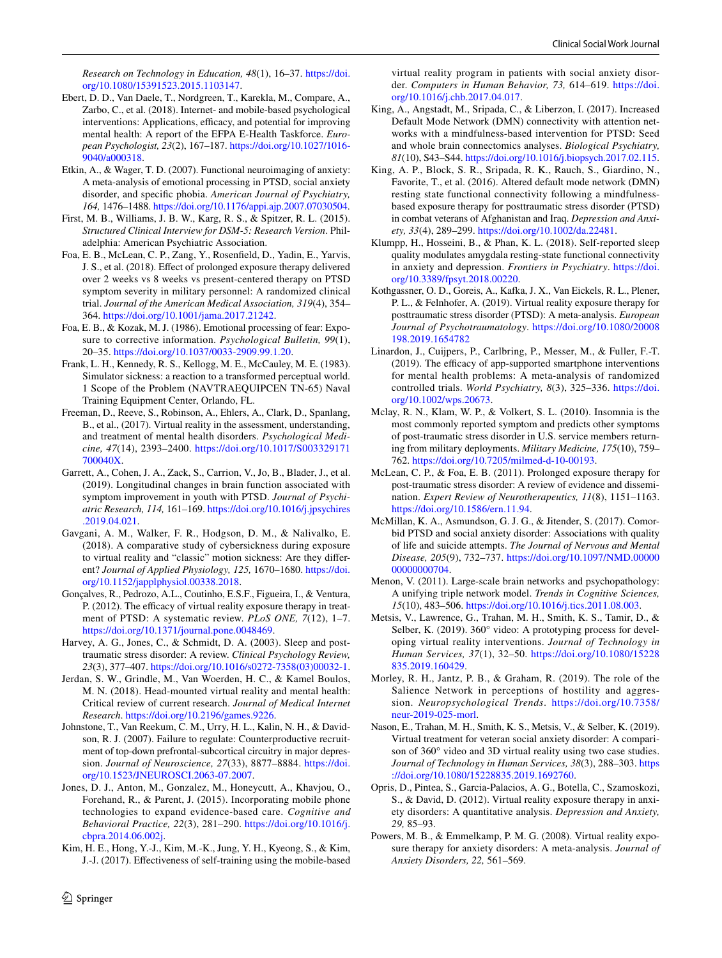*Research on Technology in Education, 48*(1), 16–37. [https://doi.](https://doi.org/10.1080/15391523.2015.1103147) [org/10.1080/15391523.2015.1103147.](https://doi.org/10.1080/15391523.2015.1103147)

- <span id="page-9-6"></span>Ebert, D. D., Van Daele, T., Nordgreen, T., Karekla, M., Compare, A., Zarbo, C., et al. (2018). Internet- and mobile-based psychological interventions: Applications, efficacy, and potential for improving mental health: A report of the EFPA E-Health Taskforce. *European Psychologist, 23*(2), 167–187. [https://doi.org/10.1027/1016-](https://doi.org/10.1027/1016-9040/a000318) [9040/a000318](https://doi.org/10.1027/1016-9040/a000318).
- <span id="page-9-14"></span>Etkin, A., & Wager, T. D. (2007). Functional neuroimaging of anxiety: A meta-analysis of emotional processing in PTSD, social anxiety disorder, and specifc phobia. *American Journal of Psychiatry, 164,* 1476–1488. [https://doi.org/10.1176/appi.ajp.2007.07030504.](https://doi.org/10.1176/appi.ajp.2007.07030504)
- <span id="page-9-22"></span>First, M. B., Williams, J. B. W., Karg, R. S., & Spitzer, R. L. (2015). *Structured Clinical Interview for DSM-5: Research Version*. Philadelphia: American Psychiatric Association.
- <span id="page-9-26"></span>Foa, E. B., McLean, C. P., Zang, Y., Rosenfeld, D., Yadin, E., Yarvis, J. S., et al. (2018). Efect of prolonged exposure therapy delivered over 2 weeks vs 8 weeks vs present-centered therapy on PTSD symptom severity in military personnel: A randomized clinical trial. *Journal of the American Medical Association, 319*(4), 354– 364. [https://doi.org/10.1001/jama.2017.21242.](https://doi.org/10.1001/jama.2017.21242)
- <span id="page-9-2"></span>Foa, E. B., & Kozak, M. J. (1986). Emotional processing of fear: Exposure to corrective information. *Psychological Bulletin, 99*(1), 20–35. <https://doi.org/10.1037/0033-2909.99.1.20>.
- <span id="page-9-20"></span>Frank, L. H., Kennedy, R. S., Kellogg, M. E., McCauley, M. E. (1983). Simulator sickness: a reaction to a transformed perceptual world. 1 Scope of the Problem (NAVTRAEQUIPCEN TN-65) Naval Training Equipment Center, Orlando, FL.
- <span id="page-9-5"></span>Freeman, D., Reeve, S., Robinson, A., Ehlers, A., Clark, D., Spanlang, B., et al., (2017). Virtual reality in the assessment, understanding, and treatment of mental health disorders. *Psychological Medicine, 47*(14), 2393–2400. [https://doi.org/10.1017/S003329171](https://doi.org/10.1017/S003329171700040X) [700040X.](https://doi.org/10.1017/S003329171700040X)
- Garrett, A., Cohen, J. A., Zack, S., Carrion, V., Jo, B., Blader, J., et al. (2019). Longitudinal changes in brain function associated with symptom improvement in youth with PTSD. *Journal of Psychiatric Research, 114,* 161–169. [https://doi.org/10.1016/j.jpsychires](https://doi.org/10.1016/j.jpsychires.2019.04.021) [.2019.04.021](https://doi.org/10.1016/j.jpsychires.2019.04.021).
- <span id="page-9-21"></span>Gavgani, A. M., Walker, F. R., Hodgson, D. M., & Nalivalko, E. (2018). A comparative study of cybersickness during exposure to virtual reality and "classic" motion sickness: Are they diferent? *Journal of Applied Physiology, 125,* 1670–1680. [https://doi.](https://doi.org/10.1152/japplphysiol.00338.2018) [org/10.1152/japplphysiol.00338.2018](https://doi.org/10.1152/japplphysiol.00338.2018).
- <span id="page-9-0"></span>Gonçalves, R., Pedrozo, A.L., Coutinho, E.S.F., Figueira, I., & Ventura, P. (2012). The efficacy of virtual reality exposure therapy in treatment of PTSD: A systematic review. *PLoS ONE, 7*(12), 1–7. [https://doi.org/10.1371/journal.pone.0048469.](https://doi.org/10.1371.journal.pone.0048469)
- <span id="page-9-18"></span>Harvey, A. G., Jones, C., & Schmidt, D. A. (2003). Sleep and posttraumatic stress disorder: A review. *Clinical Psychology Review, 23*(3), 377–407. [https://doi.org/10.1016/s0272-7358\(03\)00032-1.](https://doi.org/10.1016/s0272-7358(03)00032-1)
- <span id="page-9-4"></span>Jerdan, S. W., Grindle, M., Van Woerden, H. C., & Kamel Boulos, M. N. (2018). Head-mounted virtual reality and mental health: Critical review of current research. *Journal of Medical Internet Research*. <https://doi.org/10.2196/games.9226>.
- <span id="page-9-15"></span>Johnstone, T., Van Reekum, C. M., Urry, H. L., Kalin, N. H., & Davidson, R. J. (2007). Failure to regulate: Counterproductive recruitment of top-down prefrontal-subcortical circuitry in major depression. *Journal of Neuroscience, 27*(33), 8877–8884. [https://doi.](https://doi.org/10.1523/JNEUROSCI.2063-07.2007) [org/10.1523/JNEUROSCI.2063-07.2007](https://doi.org/10.1523/JNEUROSCI.2063-07.2007).
- <span id="page-9-8"></span>Jones, D. J., Anton, M., Gonzalez, M., Honeycutt, A., Khavjou, O., Forehand, R., & Parent, J. (2015). Incorporating mobile phone technologies to expand evidence-based care. *Cognitive and Behavioral Practice, 22*(3), 281–290. [https://doi.org/10.1016/j.](https://doi.org/10.1016/j.cbpra.2014.06.002j) [cbpra.2014.06.002j.](https://doi.org/10.1016/j.cbpra.2014.06.002j)
- <span id="page-9-27"></span>Kim, H. E., Hong, Y.-J., Kim, M.-K., Jung, Y. H., Kyeong, S., & Kim, J.-J. (2017). Efectiveness of self-training using the mobile-based

 $\circled{2}$  Springer

virtual reality program in patients with social anxiety disorder. *Computers in Human Behavior, 73,* 614–619. [https://doi.](https://doi.org/10.1016/j.chb.2017.04.017) [org/10.1016/j.chb.2017.04.017](https://doi.org/10.1016/j.chb.2017.04.017).

- <span id="page-9-17"></span>King, A., Angstadt, M., Sripada, C., & Liberzon, I. (2017). Increased Default Mode Network (DMN) connectivity with attention networks with a mindfulness-based intervention for PTSD: Seed and whole brain connectomics analyses. *Biological Psychiatry, 81*(10), S43–S44.<https://doi.org/10.1016/j.biopsych.2017.02.115>.
- <span id="page-9-16"></span>King, A. P., Block, S. R., Sripada, R. K., Rauch, S., Giardino, N., Favorite, T., et al. (2016). Altered default mode network (DMN) resting state functional connectivity following a mindfulnessbased exposure therapy for posttraumatic stress disorder (PTSD) in combat veterans of Afghanistan and Iraq. *Depression and Anxiety, 33*(4), 289–299.<https://doi.org/10.1002/da.22481>.
- <span id="page-9-25"></span>Klumpp, H., Hosseini, B., & Phan, K. L. (2018). Self-reported sleep quality modulates amygdala resting-state functional connectivity in anxiety and depression. *Frontiers in Psychiatry*. [https://doi.](https://doi.org/10.3389/fpsyt.2018.00220) [org/10.3389/fpsyt.2018.00220](https://doi.org/10.3389/fpsyt.2018.00220).
- <span id="page-9-3"></span>Kothgassner, O. D., Goreis, A., Kafka, J. X., Van Eickels, R. L., Plener, P. L., & Felnhofer, A. (2019). Virtual reality exposure therapy for posttraumatic stress disorder (PTSD): A meta-analysis. *European Journal of Psychotraumatology*. [https://doi.org/10.1080/20008](https://doi.org/10.1080/20008198.2019.1654782) [198.2019.1654782](https://doi.org/10.1080/20008198.2019.1654782)
- <span id="page-9-7"></span>Linardon, J., Cuijpers, P., Carlbring, P., Messer, M., & Fuller, F.-T.  $(2019)$ . The efficacy of app-supported smartphone interventions for mental health problems: A meta-analysis of randomized controlled trials. *World Psychiatry, 8*(3), 325–336. [https://doi.](https://doi.org/10.1002/wps.20673) [org/10.1002/wps.20673.](https://doi.org/10.1002/wps.20673)
- <span id="page-9-19"></span>Mclay, R. N., Klam, W. P., & Volkert, S. L. (2010). Insomnia is the most commonly reported symptom and predicts other symptoms of post-traumatic stress disorder in U.S. service members returning from military deployments. *Military Medicine, 175*(10), 759– 762. [https://doi.org/10.7205/milmed-d-10-00193.](https://doi.org/10.7205/milmed-d-10-00193)
- <span id="page-9-1"></span>McLean, C. P., & Foa, E. B. (2011). Prolonged exposure therapy for post-traumatic stress disorder: A review of evidence and dissemination. *Expert Review of Neurotherapeutics, 11*(8), 1151–1163. <https://doi.org/10.1586/ern.11.94>.
- <span id="page-9-9"></span>McMillan, K. A., Asmundson, G. J. G., & Jitender, S. (2017). Comorbid PTSD and social anxiety disorder: Associations with quality of life and suicide attempts. *The Journal of Nervous and Mental Disease, 205*(9), 732–737. [https://doi.org/10.1097/NMD.00000](https://doi.org/10.1097/NMD.0000000000000704) [00000000704](https://doi.org/10.1097/NMD.0000000000000704).
- <span id="page-9-13"></span>Menon, V. (2011). Large-scale brain networks and psychopathology: A unifying triple network model. *Trends in Cognitive Sciences, 15*(10), 483–506. <https://doi.org/10.1016/j.tics.2011.08.003>.
- <span id="page-9-10"></span>Metsis, V., Lawrence, G., Trahan, M. H., Smith, K. S., Tamir, D., & Selber, K. (2019). 360° video: A prototyping process for developing virtual reality interventions. *Journal of Technology in Human Services, 37*(1), 32–50. [https://doi.org/10.1080/15228](https://doi.org/10.1080/15228835.2019.160429) [835.2019.160429](https://doi.org/10.1080/15228835.2019.160429).
- <span id="page-9-12"></span>Morley, R. H., Jantz, P. B., & Graham, R. (2019). The role of the Salience Network in perceptions of hostility and aggression. *Neuropsychological Trends*. [https://doi.org/10.7358/](https://doi.org/10.7358/neur-2019-025-morl) [neur-2019-025-morl](https://doi.org/10.7358/neur-2019-025-morl).
- <span id="page-9-11"></span>Nason, E., Trahan, M. H., Smith, K. S., Metsis, V., & Selber, K. (2019). Virtual treatment for veteran social anxiety disorder: A comparison of 360° video and 3D virtual reality using two case studies. *Journal of Technology in Human Services, 38*(3), 288–303. [https](https://doi.org/10.1080/15228835.2019.1692760) [://doi.org/10.1080/15228835.2019.1692760](https://doi.org/10.1080/15228835.2019.1692760).
- <span id="page-9-24"></span>Opris, D., Pintea, S., Garcia-Palacios, A. G., Botella, C., Szamoskozi, S., & David, D. (2012). Virtual reality exposure therapy in anxiety disorders: A quantitative analysis. *Depression and Anxiety, 29,* 85–93.
- <span id="page-9-23"></span>Powers, M. B., & Emmelkamp, P. M. G. (2008). Virtual reality exposure therapy for anxiety disorders: A meta-analysis. *Journal of Anxiety Disorders, 22,* 561–569.